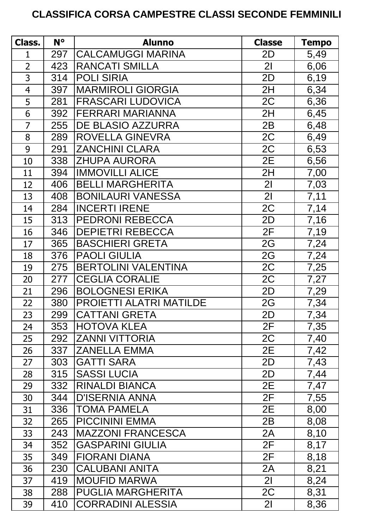## **CLASSIFICA CORSA CAMPESTRE CLASSI SECONDE FEMMINILI**

| Class.         | $N^{\circ}$ | <b>Alunno</b>              | <b>Classe</b>  | <b>Tempo</b> |
|----------------|-------------|----------------------------|----------------|--------------|
| 1              | 297         | <b>CALCAMUGGI MARINA</b>   | 2D             | 5,49         |
| $\overline{2}$ | 423         | <b>RANCATI SMILLA</b>      | 2 <sub>l</sub> | 6,06         |
| 3              | 314         | <b>POLI SIRIA</b>          | 2D             | 6,19         |
| $\overline{4}$ | 397         | <b>MARMIROLI GIORGIA</b>   | 2H             | 6,34         |
| 5              | 281         | <b>FRASCARI LUDOVICA</b>   | 2C             | 6,36         |
| 6              | 392         | <b>FERRARI MARIANNA</b>    | 2H             | 6,45         |
| $\overline{7}$ | 255         | DE BLASIO AZZURRA          | 2B             | 6,48         |
| 8              | 289         | ROVELLA GINEVRA            | 2C             | 6,49         |
| 9              | 291         | <b>ZANCHINI CLARA</b>      | 2C             | 6,53         |
| 10             | 338         | <b>ZHUPA AURORA</b>        | 2E             | 6,56         |
| 11             | 394         | <b>IMMOVILLI ALICE</b>     | 2H             | 7,00         |
| 12             | 406         | <b>BELLI MARGHERITA</b>    | 2 <sub>l</sub> | 7,03         |
| 13             | 408         | <b>BONILAURI VANESSA</b>   | 21             | 7,11         |
| 14             | 284         | <b>INCERTI IRENE</b>       | 2C             | 7,14         |
| 15             | 313         | <b>PEDRONI REBECCA</b>     | 2D             | 7,16         |
| 16             | 346         | <b>DEPIETRI REBECCA</b>    | 2F             | 7,19         |
| 17             | 365         | <b>BASCHIERI GRETA</b>     | 2G             | 7,24         |
| 18             | 376         | <b>PAOLI GIULIA</b>        | 2G             | 7,24         |
| 19             | 275         | <b>BERTOLINI VALENTINA</b> | 2C             | 7,25         |
| 20             | 277         | <b>CEGLIA CORALIE</b>      | 2C             | 7,27         |
| 21             | 296         | <b>BOLOGNESI ERIKA</b>     | 2D             | 7,29         |
| 22             | 380         | PROIETTI ALATRI MATILDE    | 2G             | 7,34         |
| 23             | 299         | <b>CATTANI GRETA</b>       | 2D             | 7,34         |
| 24             | 353         | <b>HOTOVA KLEA</b>         | 2F             | 7,35         |
| 25             | 292         | <b>ZANNI VITTORIA</b>      | 2C             | 7,40         |
| 26             | 337         | <b>ZANELLA EMMA</b>        | 2E             | 7,42         |
| 27             | 303         | <b>GATTI SARA</b>          | 2D             | 7,43         |
| 28             | 315         | <b>SASSI LUCIA</b>         | 2D             | 7,44         |
| 29             | 332         | <b>RINALDI BIANCA</b>      | 2E             | 7,47         |
| 30             | 344         | <b>D'ISERNIA ANNA</b>      | 2F             | 7,55         |
| 31             | 336         | <b>TOMA PAMELA</b>         | 2E             | 8,00         |
| 32             | 265         | <b>PICCININI EMMA</b>      | 2B             | 8,08         |
| 33             | 243         | <b>MAZZONI FRANCESCA</b>   | 2A             | 8,10         |
| 34             | 352         | <b>GASPARINI GIULIA</b>    | 2F             | 8,17         |
| 35             | 349         | <b>FIORANI DIANA</b>       | 2F             | 8,18         |
| 36             | 230         | <b>CALUBANI ANITA</b>      | 2A             | 8,21         |
| 37             | 419         | <b>MOUFID MARWA</b>        | 2 <sub>l</sub> | 8,24         |
| 38             | 288         | <b>PUGLIA MARGHERITA</b>   | 2C             | 8,31         |
| 39             | 410         | <b>CORRADINI ALESSIA</b>   | 2 <sup>1</sup> | 8,36         |